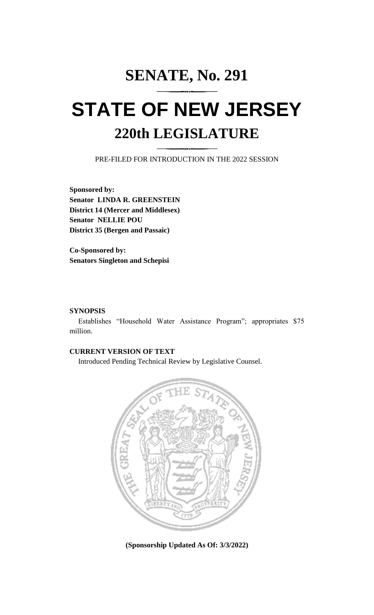# **SENATE, No. 291 STATE OF NEW JERSEY 220th LEGISLATURE**

PRE-FILED FOR INTRODUCTION IN THE 2022 SESSION

**Sponsored by: Senator LINDA R. GREENSTEIN District 14 (Mercer and Middlesex) Senator NELLIE POU District 35 (Bergen and Passaic)**

**Co-Sponsored by: Senators Singleton and Schepisi**

## **SYNOPSIS**

Establishes "Household Water Assistance Program"; appropriates \$75 million.

## **CURRENT VERSION OF TEXT**

Introduced Pending Technical Review by Legislative Counsel.



**(Sponsorship Updated As Of: 3/3/2022)**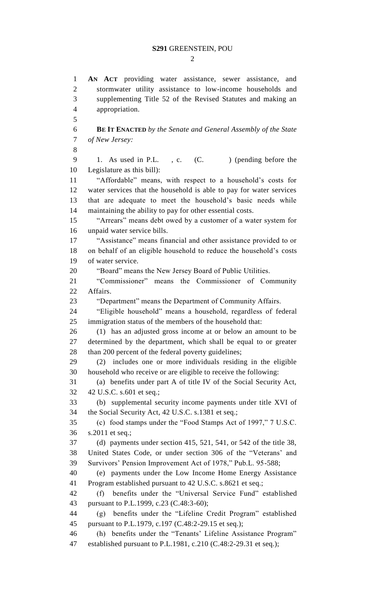$\mathcal{D}_{\mathcal{L}}$ 

 **AN ACT** providing water assistance, sewer assistance, and stormwater utility assistance to low-income households and supplementing Title 52 of the Revised Statutes and making an appropriation. **BE IT ENACTED** *by the Senate and General Assembly of the State of New Jersey:* 9 1. As used in P.L., c. (C. ) (pending before the Legislature as this bill): "Affordable" means, with respect to a household's costs for water services that the household is able to pay for water services that are adequate to meet the household's basic needs while maintaining the ability to pay for other essential costs. "Arrears" means debt owed by a customer of a water system for unpaid water service bills. "Assistance" means financial and other assistance provided to or on behalf of an eligible household to reduce the household's costs of water service. "Board" means the New Jersey Board of Public Utilities. "Commissioner" means the Commissioner of Community Affairs. "Department" means the Department of Community Affairs. "Eligible household" means a household, regardless of federal immigration status of the members of the household that: (1) has an adjusted gross income at or below an amount to be determined by the department, which shall be equal to or greater 28 than 200 percent of the federal poverty guidelines; (2) includes one or more individuals residing in the eligible household who receive or are eligible to receive the following: (a) benefits under part A of title IV of the Social Security Act, 42 U.S.C. s.601 et seq.; (b) supplemental security income payments under title XVI of the Social Security Act, 42 U.S.C. s.1381 et seq.; (c) food stamps under the "Food Stamps Act of 1997," 7 U.S.C. s.2011 et seq.; (d) payments under section 415, 521, 541, or 542 of the title 38, United States Code, or under section 306 of the "Veterans' and Survivors' Pension Improvement Act of 1978," Pub.L. 95-588; (e) payments under the Low Income Home Energy Assistance Program established pursuant to 42 U.S.C. s.8621 et seq.; (f) benefits under the "Universal Service Fund" established pursuant to P.L.1999, c.23 (C.48:3-60); (g) benefits under the "Lifeline Credit Program" established pursuant to P.L.1979, c.197 (C.48:2-29.15 et seq.); (h) benefits under the "Tenants' Lifeline Assistance Program" established pursuant to P.L.1981, c.210 (C.48:2-29.31 et seq.);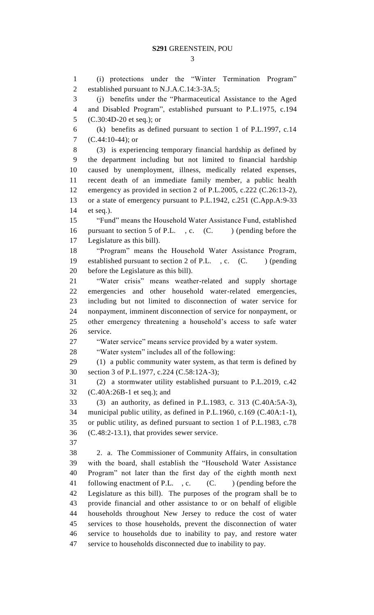(i) protections under the "Winter Termination Program" established pursuant to N.J.A.C.14:3-3A.5; (j) benefits under the "Pharmaceutical Assistance to the Aged and Disabled Program", established pursuant to P.L.1975, c.194 [\(C.30:4D-20 et seq.\)](https://1.next.westlaw.com/Link/Document/FullText?findType=L&pubNum=1000045&cite=NJST30%3a4D-20&originatingDoc=N0B934650E3D111E69190AD5EE994A3E3&refType=LQ&originationContext=document&transitionType=DocumentItem&contextData=(sc.UserEnteredCitation)); or (k) benefits as defined pursuant to section 1 of P.L.1997, c.14 [\(C.44:10-44\)](https://1.next.westlaw.com/Link/Document/FullText?findType=L&pubNum=1000045&cite=NJST30%3a4D-20&originatingDoc=N0B934650E3D111E69190AD5EE994A3E3&refType=LQ&originationContext=document&transitionType=DocumentItem&contextData=(sc.UserEnteredCitation)); or (3) is experiencing temporary financial hardship as defined by the department including but not limited to financial hardship caused by unemployment, illness, medically related expenses, recent death of an immediate family member, a public health emergency as provided in section 2 of P.L.2005, c.222 (C.26:13-2), or a state of emergency pursuant to P.L.1942, c.251 (C.App.A:9-33 et seq.). "Fund" means the Household Water Assistance Fund, established 16 pursuant to section 5 of P.L., c. (C. ) (pending before the Legislature as this bill). "Program" means the Household Water Assistance Program, 19 established pursuant to section 2 of P.L., c. (C. ) (pending before the Legislature as this bill). "Water crisis" means weather-related and supply shortage emergencies and other household water-related emergencies, including but not limited to disconnection of water service for nonpayment, imminent disconnection of service for nonpayment, or other emergency threatening a household's access to safe water service. "Water service" means service provided by a water system. "Water system" includes all of the following: (1) a public community water system, as that term is defined by section 3 of P.L.1977, c.224 (C.58:12A-3); (2) a stormwater utility established pursuant to P.L.2019, c.42 (C.40A:26B-1 et seq.); and (3) an authority, as defined in P.L.1983, c. 313 (C.40A:5A-3), municipal public utility, as defined in P.L.1960, c.169 (C.40A:1-1), or public utility, as defined pursuant to section 1 of P.L.1983, c.78 (C.48:2-13.1), that provides sewer service. 2. a. The Commissioner of Community Affairs, in consultation with the board, shall establish the "Household Water Assistance Program" not later than the first day of the eighth month next 41 following enactment of P.L., c. (C. ) (pending before the Legislature as this bill). The purposes of the program shall be to provide financial and other assistance to or on behalf of eligible households throughout New Jersey to reduce the cost of water services to those households, prevent the disconnection of water service to households due to inability to pay, and restore water service to households disconnected due to inability to pay.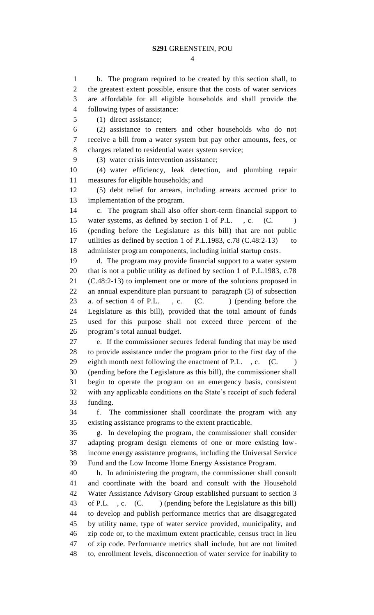b. The program required to be created by this section shall, to the greatest extent possible, ensure that the costs of water services are affordable for all eligible households and shall provide the following types of assistance:

(1) direct assistance;

 (2) assistance to renters and other households who do not receive a bill from a water system but pay other amounts, fees, or charges related to residential water system service;

(3) water crisis intervention assistance;

 (4) water efficiency, leak detection, and plumbing repair measures for eligible households; and

 (5) debt relief for arrears, including arrears accrued prior to implementation of the program.

 c. The program shall also offer short-term financial support to 15 water systems, as defined by section 1 of P.L., c. (C. (pending before the Legislature as this bill) that are not public 17 utilities as defined by section 1 of P.L.1983, c.78 (C.48:2-13) to administer program components, including initial startup costs.

 d. The program may provide financial support to a water system that is not a public utility as defined by section 1 of P.L.1983, c.78 (C.48:2-13) to implement one or more of the solutions proposed in an annual expenditure plan pursuant to paragraph (5) of subsection 23 a. of section 4 of P.L. , c. (C. ) (pending before the Legislature as this bill), provided that the total amount of funds used for this purpose shall not exceed three percent of the program's total annual budget*.*

 e. If the commissioner secures federal funding that may be used to provide assistance under the program prior to the first day of the 29 eighth month next following the enactment of P.L., c. (C.) (pending before the Legislature as this bill), the commissioner shall begin to operate the program on an emergency basis, consistent with any applicable conditions on the State's receipt of such federal funding.

 f. The commissioner shall coordinate the program with any existing assistance programs to the extent practicable.

 g. In developing the program, the commissioner shall consider adapting program design elements of one or more existing low- income energy assistance programs, including the Universal Service Fund and the Low Income Home Energy Assistance Program.

 h.In administering the program, the commissioner shall consult and coordinate with the board and consult with the Household Water Assistance Advisory Group established pursuant to section 3 43 of P.L., c. (C.) (pending before the Legislature as this bill) to develop and publish performance metrics that are disaggregated by utility name, type of water service provided, municipality, and zip code or, to the maximum extent practicable, census tract in lieu of zip code. Performance metrics shall include, but are not limited to, enrollment levels, disconnection of water service for inability to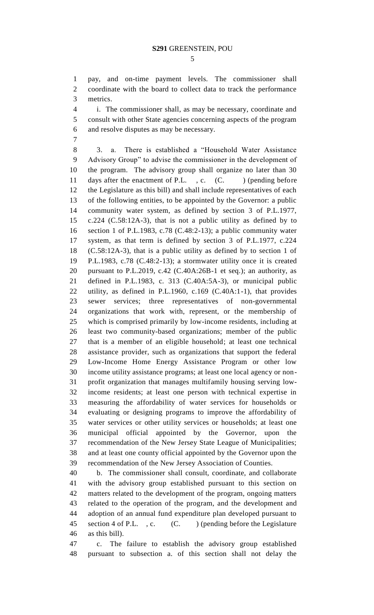pay, and on-time payment levels. The commissioner shall coordinate with the board to collect data to track the performance metrics.

 i. The commissioner shall, as may be necessary, coordinate and consult with other State agencies concerning aspects of the program and resolve disputes as may be necessary.

 3. a. There is established a "Household Water Assistance Advisory Group" to advise the commissioner in the development of the program. The advisory group shall organize no later than 30 11 days after the enactment of P.L., c. (C.) (pending before the Legislature as this bill) and shall include representatives of each of the following entities, to be appointed by the Governor: a public community water system, as defined by section 3 of P.L.1977, c.224 (C.58:12A-3), that is not a public utility as defined by to section 1 of P.L.1983, c.78 (C.48:2-13); a public community water system, as that term is defined by section 3 of P.L.1977, c.224 (C.58:12A-3), that is a public utility as defined by to section 1 of P.L.1983, c.78 (C.48:2-13); a stormwater utility once it is created pursuant to P.L.2019, c.42 (C.40A:26B-1 et seq.); an authority, as defined in P.L.1983, c. 313 (C.40A:5A-3), or municipal public utility, as defined in P.L.1960, c.169 (C.40A:1-1), that provides sewer services; three representatives of non-governmental organizations that work with, represent, or the membership of which is comprised primarily by low-income residents, including at least two community-based organizations; member of the public that is a member of an eligible household; at least one technical assistance provider, such as organizations that support the federal Low-Income Home Energy Assistance Program or other low income utility assistance programs; at least one local agency or non- profit organization that manages multifamily housing serving low- income residents; at least one person with technical expertise in measuring the affordability of water services for households or evaluating or designing programs to improve the affordability of water services or other utility services or households; at least one municipal official appointed by the Governor, upon the recommendation of the New Jersey State League of Municipalities; and at least one county official appointed by the Governor upon the recommendation of the New Jersey Association of Counties.

 b. The commissioner shall consult, coordinate, and collaborate with the advisory group established pursuant to this section on matters related to the development of the program, ongoing matters related to the operation of the program, and the development and adoption of an annual fund expenditure plan developed pursuant to 45 section 4 of P.L., c. (C. ) (pending before the Legislature as this bill).

 c. The failure to establish the advisory group established pursuant to subsection a. of this section shall not delay the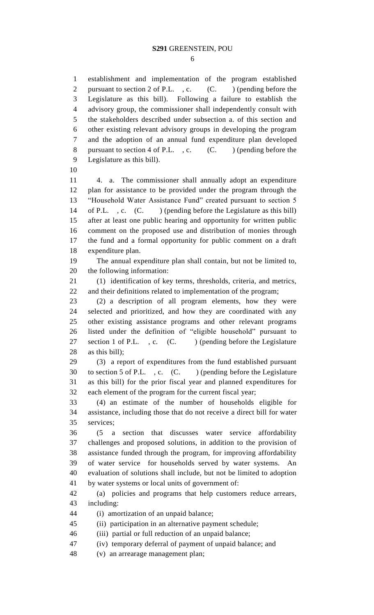establishment and implementation of the program established 2 pursuant to section 2 of P.L., c. (C. ) (pending before the Legislature as this bill). Following a failure to establish the advisory group, the commissioner shall independently consult with the stakeholders described under subsection a. of this section and other existing relevant advisory groups in developing the program and the adoption of an annual fund expenditure plan developed 8 pursuant to section 4 of P.L., c. (C. ) (pending before the Legislature as this bill).

 4. a. The commissioner shall annually adopt an expenditure plan for assistance to be provided under the program through the "Household Water Assistance Fund" created pursuant to section 5 14 of P.L. , c. (C. ) (pending before the Legislature as this bill) after at least one public hearing and opportunity for written public comment on the proposed use and distribution of monies through the fund and a formal opportunity for public comment on a draft expenditure plan.

 The annual expenditure plan shall contain, but not be limited to, the following information:

 (1) identification of key terms, thresholds, criteria, and metrics, and their definitions related to implementation of the program;

 (2) a description of all program elements, how they were selected and prioritized, and how they are coordinated with any other existing assistance programs and other relevant programs listed under the definition of "eligible household" pursuant to 27 section 1 of P.L., c. (C.) (pending before the Legislature as this bill);

 (3) a report of expenditures from the fund established pursuant 30 to section 5 of P.L., c. (C. ) (pending before the Legislature as this bill) for the prior fiscal year and planned expenditures for each element of the program for the current fiscal year;

 (4) an estimate of the number of households eligible for assistance, including those that do not receive a direct bill for water services;

 (5 a section that discusses water service affordability challenges and proposed solutions, in addition to the provision of assistance funded through the program, for improving affordability of water service for households served by water systems. An evaluation of solutions shall include, but not be limited to adoption by water systems or local units of government of:

 (a) policies and programs that help customers reduce arrears, including:

(i) amortization of an unpaid balance;

(ii) participation in an alternative payment schedule;

(iii) partial or full reduction of an unpaid balance;

(iv) temporary deferral of payment of unpaid balance; and

(v) an arrearage management plan;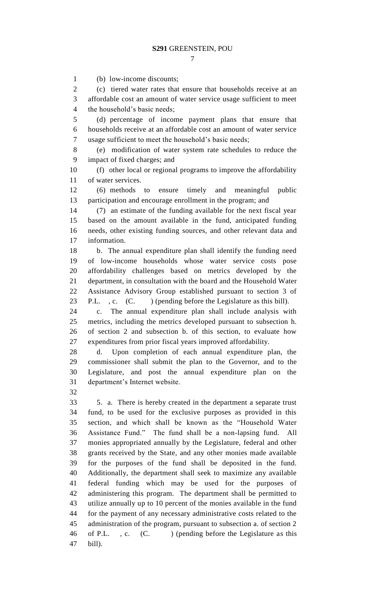(b) low-income discounts; (c) tiered water rates that ensure that households receive at an affordable cost an amount of water service usage sufficient to meet the household's basic needs; (d) percentage of income payment plans that ensure that households receive at an affordable cost an amount of water service usage sufficient to meet the household's basic needs; (e) modification of water system rate schedules to reduce the impact of fixed charges; and (f) other local or regional programs to improve the affordability of water services. (6) methods to ensure timely and meaningful public participation and encourage enrollment in the program; and (7) an estimate of the funding available for the next fiscal year based on the amount available in the fund, anticipated funding needs, other existing funding sources, and other relevant data and information. b. The annual expenditure plan shall identify the funding need of low-income households whose water service costs pose affordability challenges based on metrics developed by the department, in consultation with the board and the Household Water Assistance Advisory Group established pursuant to section 3 of 23 P.L., c. (C. ) (pending before the Legislature as this bill). c. The annual expenditure plan shall include analysis with metrics, including the metrics developed pursuant to subsection h. of section 2 and subsection b. of this section, to evaluate how expenditures from prior fiscal years improved affordability. d. Upon completion of each annual expenditure plan, the commissioner shall submit the plan to the Governor, and to the Legislature, and post the annual expenditure plan on the department's Internet website. 5. a. There is hereby created in the department a separate trust fund, to be used for the exclusive purposes as provided in this section, and which shall be known as the "Household Water Assistance Fund." The fund shall be a non-lapsing fund. All monies appropriated annually by the Legislature, federal and other grants received by the State, and any other monies made available for the purposes of the fund shall be deposited in the fund. Additionally, the department shall seek to maximize any available federal funding which may be used for the purposes of administering this program. The department shall be permitted to utilize annually up to 10 percent of the monies available in the fund for the payment of any necessary administrative costs related to the administration of the program, pursuant to subsection a. of section 2 46 of P.L., c. (C.) (pending before the Legislature as this

bill).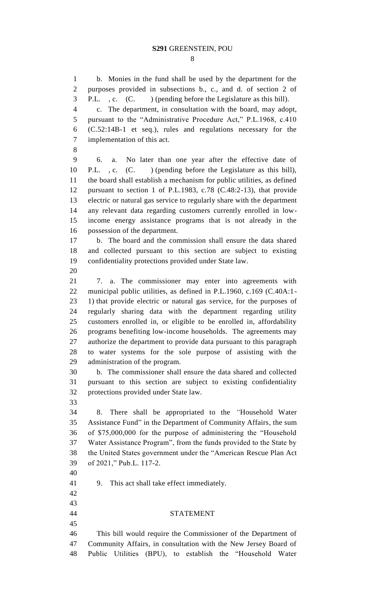b. Monies in the fund shall be used by the department for the purposes provided in subsections b., c., and d. of section 2 of P.L. , c. (C. ) (pending before the Legislature as this bill). c. The department, in consultation with the board, may adopt, pursuant to the "Administrative Procedure Act," P.L.1968, c.410 (C.52:14B-1 et seq.), rules and regulations necessary for the implementation of this act. 6. a. No later than one year after the effective date of P.L. , c. (C. ) (pending before the Legislature as this bill), the board shall establish a mechanism for public utilities, as defined pursuant to section 1 of P.L.1983, c.78 (C.48:2-13), that provide electric or natural gas service to regularly share with the department any relevant data regarding customers currently enrolled in low- income energy assistance programs that is not already in the possession of the department. b. The board and the commission shall ensure the data shared and collected pursuant to this section are subject to existing confidentiality protections provided under State law. 7. a. The commissioner may enter into agreements with municipal public utilities, as defined in P.L.1960, c.169 (C.40A:1- 1) that provide electric or natural gas service, for the purposes of regularly sharing data with the department regarding utility customers enrolled in, or eligible to be enrolled in, affordability programs benefiting low-income households. The agreements may authorize the department to provide data pursuant to this paragraph to water systems for the sole purpose of assisting with the administration of the program. b. The commissioner shall ensure the data shared and collected pursuant to this section are subject to existing confidentiality protections provided under State law. 8. There shall be appropriated to the *"*Household Water Assistance Fund" in the Department of Community Affairs, the sum of \$75,000,000 for the purpose of administering the "Household Water Assistance Program", from the funds provided to the State by the United States government under the "American Rescue Plan Act of 2021," Pub.L. 117-2. 9. This act shall take effect immediately. STATEMENT This bill would require the Commissioner of the Department of Community Affairs, in consultation with the New Jersey Board of Public Utilities (BPU), to establish the "Household Water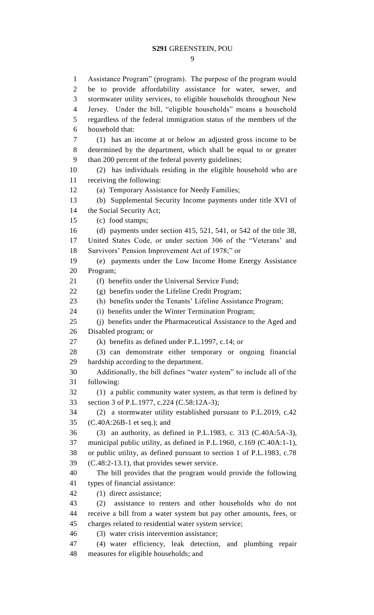Assistance Program" (program). The purpose of the program would be to provide affordability assistance for water, sewer, and stormwater utility services, to eligible households throughout New Jersey. Under the bill, "eligible households" means a household regardless of the federal immigration status of the members of the household that: (1) has an income at or below an adjusted gross income to be determined by the department, which shall be equal to or greater than 200 percent of the federal poverty guidelines; (2) has individuals residing in the eligible household who are receiving the following: (a) Temporary Assistance for Needy Families; (b) Supplemental Security Income payments under title XVI of the Social Security Act; (c) food stamps; (d) payments under section 415, 521, 541, or 542 of the title 38, United States Code, or under section 306 of the "Veterans' and Survivors' Pension Improvement Act of 1978;" or (e) payments under the Low Income Home Energy Assistance Program; (f) benefits under the Universal Service Fund; (g) benefits under the Lifeline Credit Program; (h) benefits under the Tenants' Lifeline Assistance Program; (i) benefits under the Winter Termination Program; (j) benefits under the Pharmaceutical Assistance to the Aged and Disabled program; or (k) benefits as defined under P.L.1997, c.14; or (3) can demonstrate either temporary or ongoing financial hardship according to the department. Additionally, the bill defines "water system" to include all of the following: (1) a public community water system, as that term is defined by section 3 of P.L.1977, c.224 (C.58:12A-3); (2) a stormwater utility established pursuant to P.L.2019, c.42 (C.40A:26B-1 et seq.); and (3) an authority, as defined in P.L.1983, c. 313 (C.40A:5A-3), municipal public utility, as defined in P.L.1960, c.169 (C.40A:1-1), or public utility, as defined pursuant to section 1 of P.L.1983, c.78 (C.48:2-13.1), that provides sewer service. The bill provides that the program would provide the following types of financial assistance: *(*1) direct assistance; (2) assistance to renters and other households who do not receive a bill from a water system but pay other amounts, fees, or charges related to residential water system service; (3) water crisis intervention assistance; (4) water efficiency, leak detection, and plumbing repair

measures for eligible households; and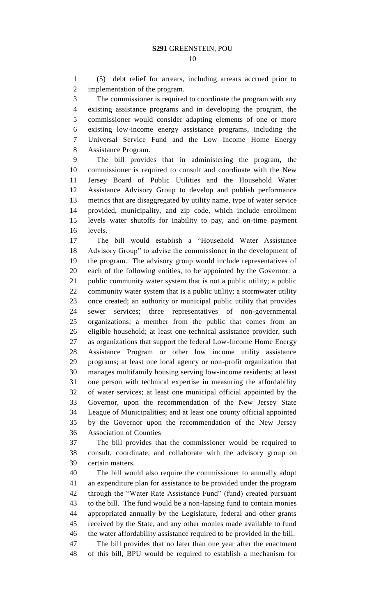(5) debt relief for arrears, including arrears accrued prior to implementation of the program.

 The commissioner is required to coordinate the program with any existing assistance programs and in developing the program, the commissioner would consider adapting elements of one or more existing low-income energy assistance programs, including the Universal Service Fund and the Low Income Home Energy Assistance Program.

 The bill provides that in administering the program, the commissioner is required to consult and coordinate with the New Jersey Board of Public Utilities and the Household Water Assistance Advisory Group to develop and publish performance metrics that are disaggregated by utility name, type of water service provided, municipality, and zip code, which include enrollment levels water shutoffs for inability to pay, and on-time payment levels.

 The bill would establish a "Household Water Assistance Advisory Group" to advise the commissioner in the development of the program. The advisory group would include representatives of each of the following entities, to be appointed by the Governor: a public community water system that is not a public utility; a public community water system that is a public utility; a stormwater utility once created; an authority or municipal public utility that provides sewer services; three representatives of non-governmental organizations; a member from the public that comes from an eligible household; at least one technical assistance provider, such as organizations that support the federal Low-Income Home Energy Assistance Program or other low income utility assistance programs; at least one local agency or non-profit organization that manages multifamily housing serving low-income residents; at least one person with technical expertise in measuring the affordability of water services; at least one municipal official appointed by the Governor, upon the recommendation of the New Jersey State League of Municipalities; and at least one county official appointed by the Governor upon the recommendation of the New Jersey Association of Counties

 The bill provides that the commissioner would be required to consult, coordinate, and collaborate with the advisory group on certain matters.

 The bill would also require the commissioner to annually adopt an expenditure plan for assistance to be provided under the program through the "Water Rate Assistance Fund" (fund) created pursuant to the bill. The fund would be a non-lapsing fund to contain monies appropriated annually by the Legislature, federal and other grants received by the State, and any other monies made available to fund the water affordability assistance required to be provided in the bill. The bill provides that no later than one year after the enactment

of this bill, BPU would be required to establish a mechanism for